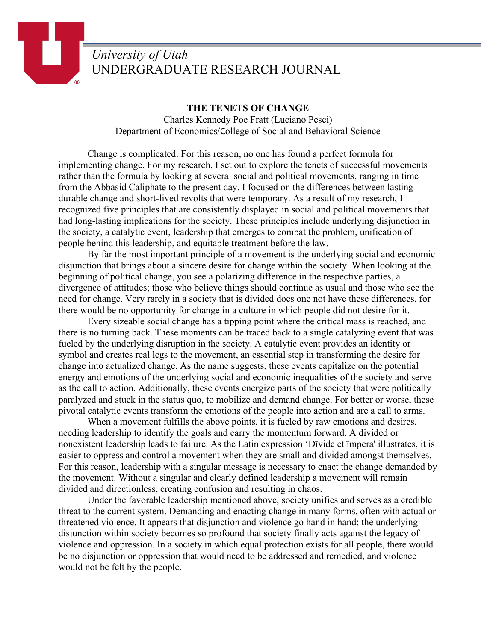## *University of Utah* UNDERGRADUATE RESEARCH JOURNAL

## **THE TENETS OF CHANGE**

Charles Kennedy Poe Fratt (Luciano Pesci) Department of Economics/College of Social and Behavioral Science

Change is complicated. For this reason, no one has found a perfect formula for implementing change. For my research, I set out to explore the tenets of successful movements rather than the formula by looking at several social and political movements, ranging in time from the Abbasid Caliphate to the present day. I focused on the differences between lasting durable change and short-lived revolts that were temporary. As a result of my research, I recognized five principles that are consistently displayed in social and political movements that had long-lasting implications for the society. These principles include underlying disjunction in the society, a catalytic event, leadership that emerges to combat the problem, unification of people behind this leadership, and equitable treatment before the law.

By far the most important principle of a movement is the underlying social and economic disjunction that brings about a sincere desire for change within the society. When looking at the beginning of political change, you see a polarizing difference in the respective parties, a divergence of attitudes; those who believe things should continue as usual and those who see the need for change. Very rarely in a society that is divided does one not have these differences, for there would be no opportunity for change in a culture in which people did not desire for it.

Every sizeable social change has a tipping point where the critical mass is reached, and there is no turning back. These moments can be traced back to a single catalyzing event that was fueled by the underlying disruption in the society. A catalytic event provides an identity or symbol and creates real legs to the movement, an essential step in transforming the desire for change into actualized change. As the name suggests, these events capitalize on the potential energy and emotions of the underlying social and economic inequalities of the society and serve as the call to action. Additionally, these events energize parts of the society that were politically paralyzed and stuck in the status quo, to mobilize and demand change. For better or worse, these pivotal catalytic events transform the emotions of the people into action and are a call to arms.

When a movement fulfills the above points, it is fueled by raw emotions and desires, needing leadership to identify the goals and carry the momentum forward. A divided or nonexistent leadership leads to failure. As the Latin expression 'Dīvide et īmpera' illustrates, it is easier to oppress and control a movement when they are small and divided amongst themselves. For this reason, leadership with a singular message is necessary to enact the change demanded by the movement. Without a singular and clearly defined leadership a movement will remain divided and directionless, creating confusion and resulting in chaos.

Under the favorable leadership mentioned above, society unifies and serves as a credible threat to the current system. Demanding and enacting change in many forms, often with actual or threatened violence. It appears that disjunction and violence go hand in hand; the underlying disjunction within society becomes so profound that society finally acts against the legacy of violence and oppression. In a society in which equal protection exists for all people, there would be no disjunction or oppression that would need to be addressed and remedied, and violence would not be felt by the people.